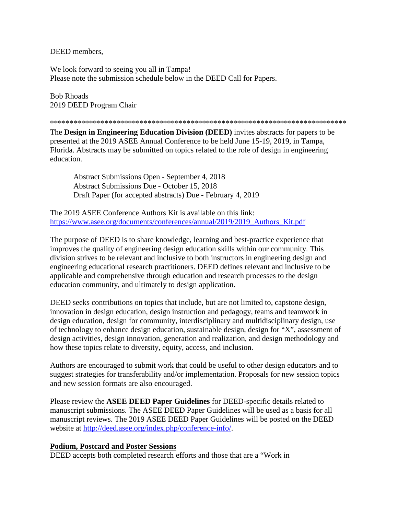DEED members,

We look forward to seeing you all in Tampa! Please note the submission schedule below in the DEED Call for Papers.

Bob Rhoads 2019 DEED Program Chair

\*\*\*\*\*\*\*\*\*\*\*\*\*\*\*\*\*\*\*\*\*\*\*\*\*\*\*\*\*\*\*\*\*\*\*\*\*\*\*\*\*\*\*\*\*\*\*\*\*\*\*\*\*\*\*\*\*\*\*\*\*\*\*\*\*\*\*\*\*\*\*\*\*\*\*\*

The **Design in Engineering Education Division (DEED)** invites abstracts for papers to be presented at the 2019 ASEE Annual Conference to be held June 15-19, 2019, in Tampa, Florida. Abstracts may be submitted on topics related to the role of design in engineering education.

Abstract Submissions Open - September 4, 2018 Abstract Submissions Due - October 15, 2018 Draft Paper (for accepted abstracts) Due - February 4, 2019

The 2019 ASEE Conference Authors Kit is available on this link: [https://www.asee.org/documents/conferences/annual/2019/2019\\_Authors\\_Kit.pdf](https://www.asee.org/documents/conferences/annual/2019/2019_Authors_Kit.pdf)

The purpose of DEED is to share knowledge, learning and best-practice experience that improves the quality of engineering design education skills within our community. This division strives to be relevant and inclusive to both instructors in engineering design and engineering educational research practitioners. DEED defines relevant and inclusive to be applicable and comprehensive through education and research processes to the design education community, and ultimately to design application.

DEED seeks contributions on topics that include, but are not limited to, capstone design, innovation in design education, design instruction and pedagogy, teams and teamwork in design education, design for community, interdisciplinary and multidisciplinary design, use of technology to enhance design education, sustainable design, design for "X", assessment of design activities, design innovation, generation and realization, and design methodology and how these topics relate to diversity, equity, access, and inclusion.

Authors are encouraged to submit work that could be useful to other design educators and to suggest strategies for transferability and/or implementation. Proposals for new session topics and new session formats are also encouraged.

Please review the **ASEE DEED Paper Guidelines** for DEED-specific details related to manuscript submissions. The ASEE DEED Paper Guidelines will be used as a basis for all manuscript reviews. The 2019 ASEE DEED Paper Guidelines will be posted on the DEED website at [http://deed.asee.org/index.php/conference-info/.](http://deed.asee.org/index.php/conference-info/)

## **Podium, Postcard and Poster Sessions**

DEED accepts both completed research efforts and those that are a "Work in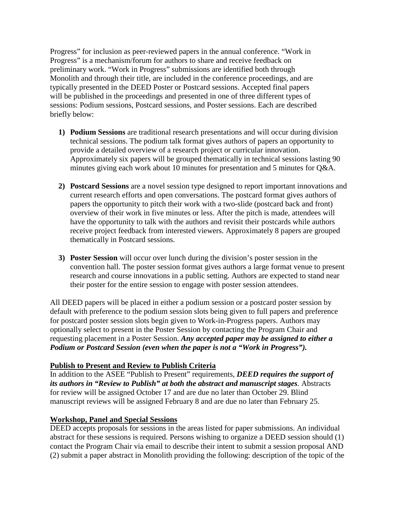Progress" for inclusion as peer-reviewed papers in the annual conference. "Work in Progress" is a mechanism/forum for authors to share and receive feedback on preliminary work. "Work in Progress" submissions are identified both through Monolith and through their title, are included in the conference proceedings, and are typically presented in the DEED Poster or Postcard sessions. Accepted final papers will be published in the proceedings and presented in one of three different types of sessions: Podium sessions, Postcard sessions, and Poster sessions. Each are described briefly below:

- **1) Podium Sessions** are traditional research presentations and will occur during division technical sessions. The podium talk format gives authors of papers an opportunity to provide a detailed overview of a research project or curricular innovation. Approximately six papers will be grouped thematically in technical sessions lasting 90 minutes giving each work about 10 minutes for presentation and 5 minutes for Q&A.
- **2) Postcard Sessions** are a novel session type designed to report important innovations and current research efforts and open conversations. The postcard format gives authors of papers the opportunity to pitch their work with a two-slide (postcard back and front) overview of their work in five minutes or less. After the pitch is made, attendees will have the opportunity to talk with the authors and revisit their postcards while authors receive project feedback from interested viewers. Approximately 8 papers are grouped thematically in Postcard sessions.
- **3) Poster Session** will occur over lunch during the division's poster session in the convention hall. The poster session format gives authors a large format venue to present research and course innovations in a public setting. Authors are expected to stand near their poster for the entire session to engage with poster session attendees.

All DEED papers will be placed in either a podium session or a postcard poster session by default with preference to the podium session slots being given to full papers and preference for postcard poster session slots begin given to Work-in-Progress papers. Authors may optionally select to present in the Poster Session by contacting the Program Chair and requesting placement in a Poster Session. *Any accepted paper may be assigned to either a Podium or Postcard Session (even when the paper is not a "Work in Progress").*

## **Publish to Present and Review to Publish Criteria**

In addition to the ASEE "Publish to Present" requirements, *DEED requires the support of its authors in "Review to Publish" at both the abstract and manuscript stages.* Abstracts for review will be assigned October 17 and are due no later than October 29. Blind manuscript reviews will be assigned February 8 and are due no later than February 25.

## **Workshop, Panel and Special Sessions**

DEED accepts proposals for sessions in the areas listed for paper submissions. An individual abstract for these sessions is required. Persons wishing to organize a DEED session should (1) contact the Program Chair via email to describe their intent to submit a session proposal AND (2) submit a paper abstract in Monolith providing the following: description of the topic of the